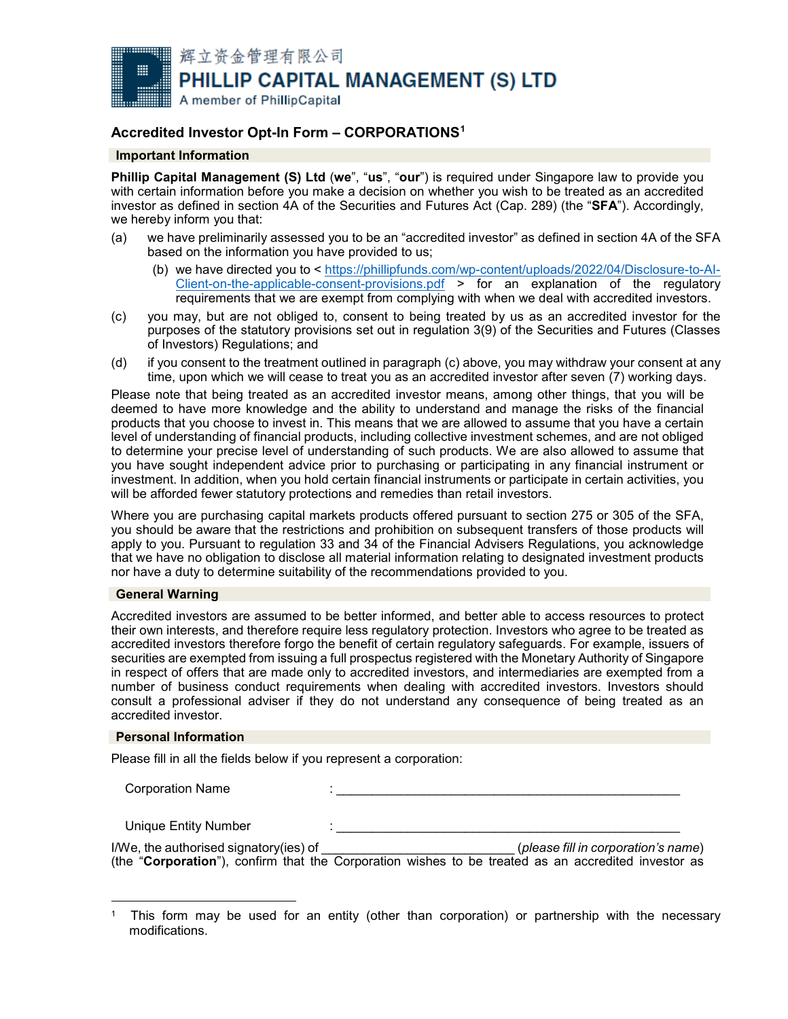

# **Accredited Investor Opt-In Form – CORPORATIONS[1](#page-0-0)**

# **Important Information**

**Phillip Capital Management (S) Ltd** (**we**", "**us**", "**our**") is required under Singapore law to provide you with certain information before you make a decision on whether you wish to be treated as an accredited investor as defined in section 4A of the Securities and Futures Act (Cap. 289) (the "**SFA**"). Accordingly, we hereby inform you that:

- (a) we have preliminarily assessed you to be an "accredited investor" as defined in section 4A of the SFA based on the information you have provided to us;
	- (b) we have directed you to < [https://phillipfunds.com/wp-content/uploads/2022/04/Disclosure-to-AI-](https://phillipfunds.com/wp-content/uploads/2022/04/Disclosure-to-AI-Client-on-the-applicable-consent-provisions.pdf)[Client-on-the-applicable-consent-provisions.pdf](https://phillipfunds.com/wp-content/uploads/2022/04/Disclosure-to-AI-Client-on-the-applicable-consent-provisions.pdf) > for an explanation of the regulatory requirements that we are exempt from complying with when we deal with accredited investors.
- (c) you may, but are not obliged to, consent to being treated by us as an accredited investor for the purposes of the statutory provisions set out in regulation 3(9) of the Securities and Futures (Classes of Investors) Regulations; and
- (d) if you consent to the treatment outlined in paragraph (c) above, you may withdraw your consent at any time, upon which we will cease to treat you as an accredited investor after seven (7) working days.

Please note that being treated as an accredited investor means, among other things, that you will be deemed to have more knowledge and the ability to understand and manage the risks of the financial products that you choose to invest in. This means that we are allowed to assume that you have a certain level of understanding of financial products, including collective investment schemes, and are not obliged to determine your precise level of understanding of such products. We are also allowed to assume that you have sought independent advice prior to purchasing or participating in any financial instrument or investment. In addition, when you hold certain financial instruments or participate in certain activities, you will be afforded fewer statutory protections and remedies than retail investors.

Where you are purchasing capital markets products offered pursuant to section 275 or 305 of the SFA, you should be aware that the restrictions and prohibition on subsequent transfers of those products will apply to you. Pursuant to regulation 33 and 34 of the Financial Advisers Regulations, you acknowledge that we have no obligation to disclose all material information relating to designated investment products nor have a duty to determine suitability of the recommendations provided to you.

## **General Warning**

Accredited investors are assumed to be better informed, and better able to access resources to protect their own interests, and therefore require less regulatory protection. Investors who agree to be treated as accredited investors therefore forgo the benefit of certain regulatory safeguards. For example, issuers of securities are exempted from issuing a full prospectus registered with the Monetary Authority of Singapore in respect of offers that are made only to accredited investors, and intermediaries are exempted from a number of business conduct requirements when dealing with accredited investors. Investors should consult a professional adviser if they do not understand any consequence of being treated as an accredited investor.

### **Personal Information**

Please fill in all the fields below if you represent a corporation:

Corporation Name

Unique Entity Number

| I/We, the authorised signatory(ies) of                                                              |  | (please fill in corporation's name) |  |  |  |  |  |  |  |  |
|-----------------------------------------------------------------------------------------------------|--|-------------------------------------|--|--|--|--|--|--|--|--|
| (the "Corporation"), confirm that the Corporation wishes to be treated as an accredited investor as |  |                                     |  |  |  |  |  |  |  |  |

<span id="page-0-0"></span> $\overline{a}$ <sup>1</sup> This form may be used for an entity (other than corporation) or partnership with the necessary modifications.